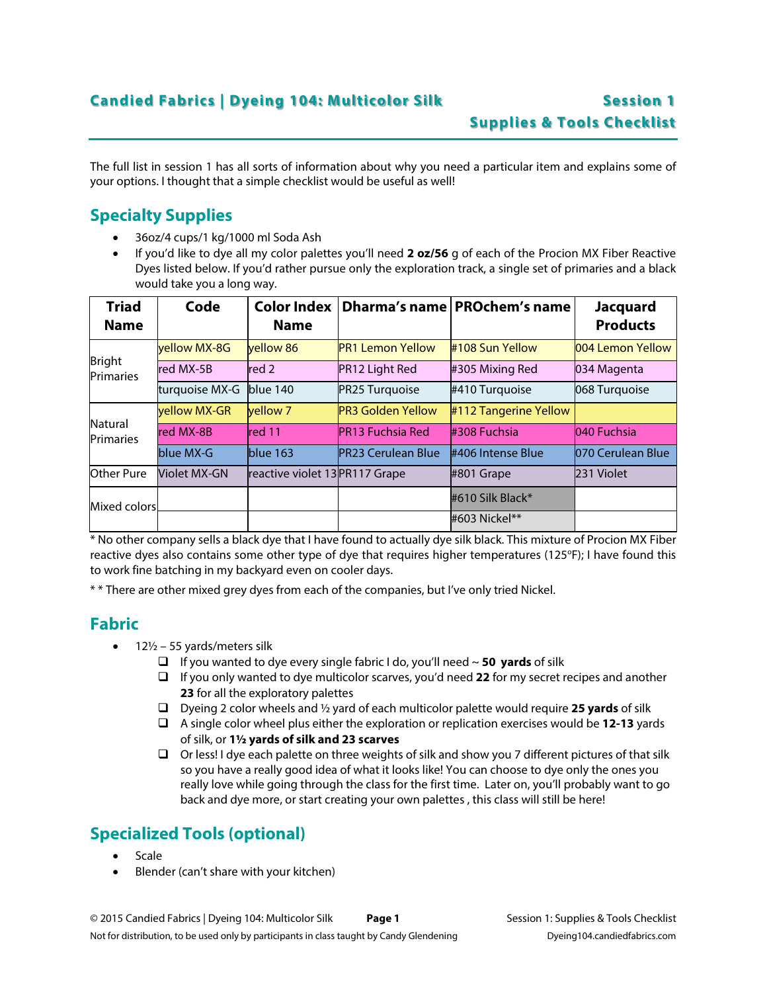The full list in session 1 has all sorts of information about why you need a particular item and explains some of your options. I thought that a simple checklist would be useful as well!

## **Specialty Supplies**

- 36oz/4 cups/1 kg/1000 ml Soda Ash
- If you'd like to dye all my color palettes you'll need **2 oz/56** g of each of the Procion MX Fiber Reactive Dyes listed below. If you'd rather pursue only the exploration track, a single set of primaries and a black would take you a long way.

| <b>Triad</b><br><b>Name</b> | Code           | <b>Color Index</b><br><b>Name</b> |                           | Dharma's name   PROchem's name | <b>Jacquard</b><br><b>Products</b> |
|-----------------------------|----------------|-----------------------------------|---------------------------|--------------------------------|------------------------------------|
| <b>Bright</b><br>Primaries  | vellow MX-8G   | vellow 86                         | <b>PR1 Lemon Yellow</b>   | #108 Sun Yellow                | 004 Lemon Yellow                   |
|                             | red MX-5B      | red 2                             | PR12 Light Red            | #305 Mixing Red                | 034 Magenta                        |
|                             | turquoise MX-G | blue 140                          | PR25 Turquoise            | #410 Turquoise                 | 068 Turquoise                      |
| Natural<br>Primaries        | vellow MX-GR   | <b>vellow</b> 7                   | <b>PR3 Golden Yellow</b>  | #112 Tangerine Yellow          |                                    |
|                             | red MX-8B      | red 11                            | <b>PR13 Fuchsia Red</b>   | #308 Fuchsia                   | 040 Fuchsia                        |
|                             | blue MX-G      | blue 163                          | <b>PR23 Cerulean Blue</b> | #406 Intense Blue              | 070 Cerulean Blue                  |
| Other Pure                  | Violet MX-GN   | reactive violet 13 PR117 Grape    |                           | #801 Grape                     | 231 Violet                         |
| Mixed colors                |                |                                   |                           | #610 Silk Black*               |                                    |
|                             |                |                                   |                           | #603 Nickel**                  |                                    |

\* No other company sells a black dye that I have found to actually dye silk black. This mixture of Procion MX Fiber reactive dyes also contains some other type of dye that requires higher temperatures (125°F); I have found this to work fine batching in my backyard even on cooler days.

\* \* There are other mixed grey dyes from each of the companies, but I've only tried Nickel.

#### **Fabric**

- 12½ 55 yards/meters silk
	- If you wanted to dye every single fabric I do, you'll need ~ **50 yards** of silk
	- If you only wanted to dye multicolor scarves, you'd need **22** for my secret recipes and another **23** for all the exploratory palettes
	- Dyeing 2 color wheels and ½ yard of each multicolor palette would require **25 yards** of silk
	- A single color wheel plus either the exploration or replication exercises would be **12-13** yards of silk, or **1½ yards of silk and 23 scarves**
	- $\Box$  Or less! I dye each palette on three weights of silk and show you 7 different pictures of that silk so you have a really good idea of what it looks like! You can choose to dye only the ones you really love while going through the class for the first time. Later on, you'll probably want to go back and dye more, or start creating your own palettes , this class will still be here!

# **Specialized Tools (optional)**

- Scale
- Blender (can't share with your kitchen)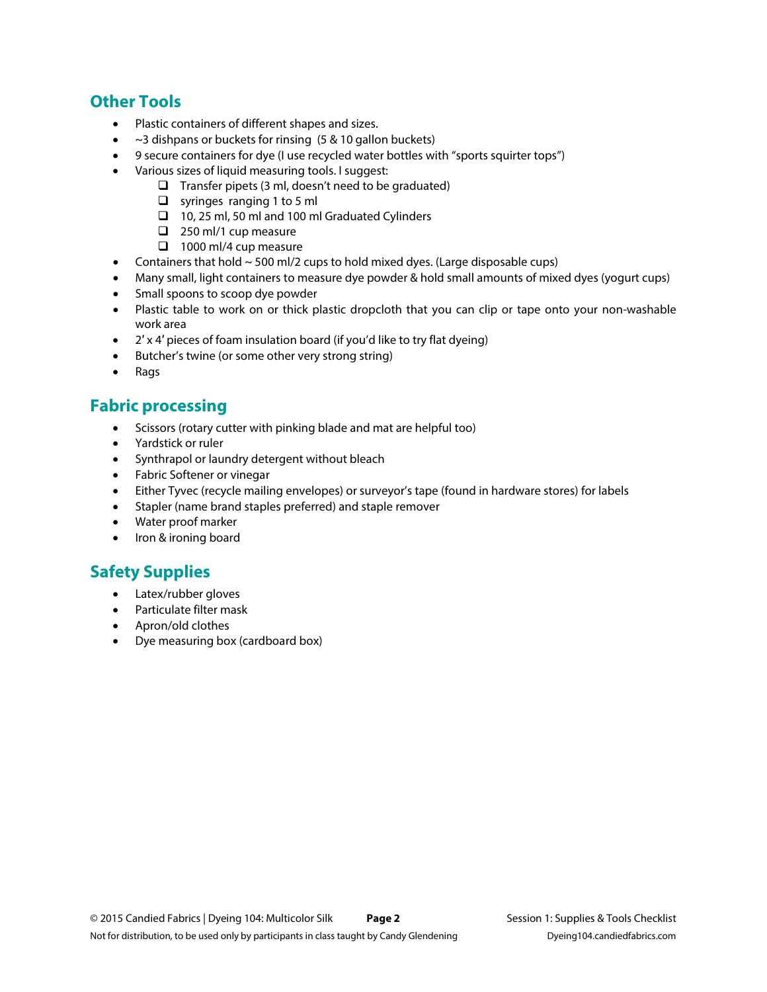### **Other Tools**

- Plastic containers of different shapes and sizes.
- $\bullet$  ~3 dishpans or buckets for rinsing (5 & 10 gallon buckets)
- 9 secure containers for dye (I use recycled water bottles with "sports squirter tops")
- Various sizes of liquid measuring tools. I suggest:
	- $\Box$  Transfer pipets (3 ml, doesn't need to be graduated)
	- $\Box$  syringes ranging 1 to 5 ml
	- $\Box$  10, 25 ml, 50 ml and 100 ml Graduated Cylinders
	- $\Box$  250 ml/1 cup measure
	- $\Box$  1000 ml/4 cup measure
- Containers that hold  $\sim$  500 ml/2 cups to hold mixed dyes. (Large disposable cups)
- Many small, light containers to measure dye powder & hold small amounts of mixed dyes (yogurt cups)
- Small spoons to scoop dye powder
- Plastic table to work on or thick plastic dropcloth that you can clip or tape onto your non-washable work area
- 2' x 4' pieces of foam insulation board (if you'd like to try flat dyeing)
- Butcher's twine (or some other very strong string)
- Rags

## **Fabric processing**

- Scissors (rotary cutter with pinking blade and mat are helpful too)
- Yardstick or ruler
- Synthrapol or laundry detergent without bleach
- Fabric Softener or vinegar
- Either Tyvec (recycle mailing envelopes) or surveyor's tape (found in hardware stores) for labels
- Stapler (name brand staples preferred) and staple remover
- Water proof marker
- Iron & ironing board

## **Safety Supplies**

- Latex/rubber gloves
- Particulate filter mask
- Apron/old clothes
- Dye measuring box (cardboard box)